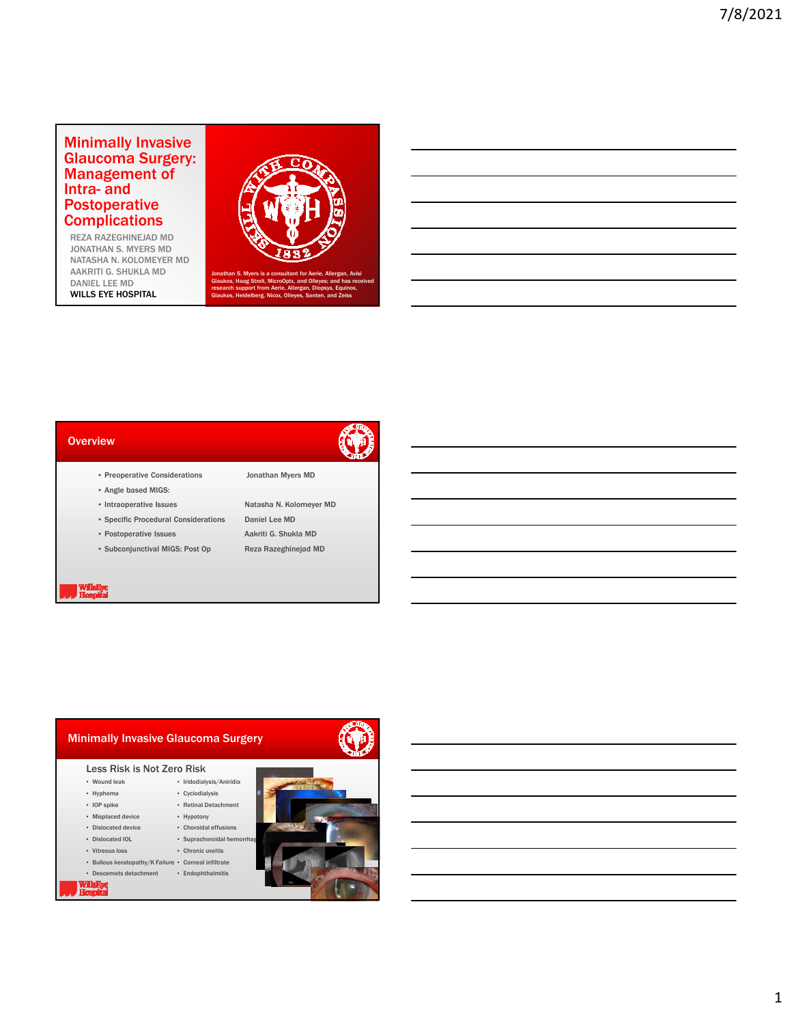## Minimally Invasive Glaucoma Surgery: Management of Intra- and Postoperative **Complications**

REZA RAZEGHINEJAD MD JONATHAN S. MYERS MD NATASHA N. KOLOMEYER MD AAKRITI G. SHUKLA MD DANIEL LEE MD WILLS EYE HOSPITAL



and Olleyes; and has re research support from Aerie, Allergan, Diopsys, Equinox, Glaukos, Heidelberg, Nicox, Olleyes, Santen, and Zeiss

#### **Overview**



- Preoperative Considerations Jonathan Myers MD
- Angle based MIGS:
- Intraoperative Issues Natasha N. Kolomeyer MD
- Specific Procedural Considerations Daniel Lee MD \* Postoperative Issues Aakriti G. Shukla MD
- 
- Subconjunctival MIGS: Post Op Reza Razeghinejad MD





- Bullous keratopathy/K Failure Corneal infiltrate
- Descemets detachment ▪ Endophthalmitis

Willigitye<br>Hermitel

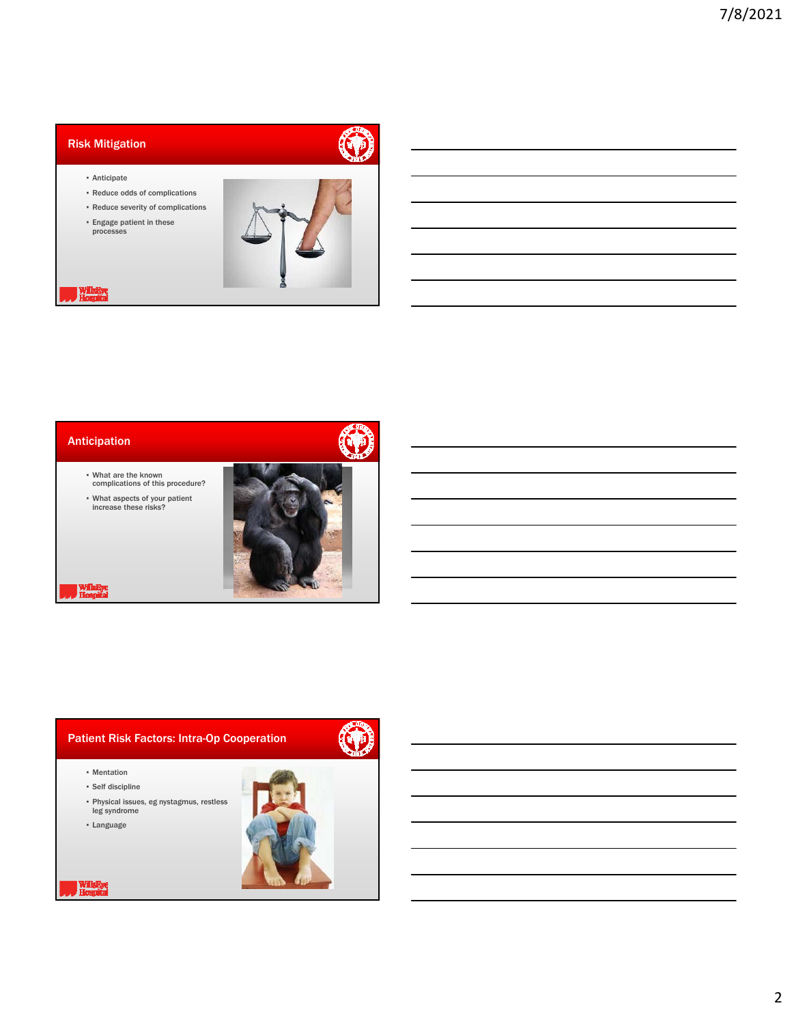# Risk Mitigation



- Anticipate
- Reduce odds of complications
- Reduce severity of complications
- Engage patient in these processes



**Wilshyre**<br>Hospital





- What are the known complications of this procedure?
- What aspects of your patient increase these risks?



Willakye<br>Hospital

# Patient Risk Factors: Intra-Op Cooperation



- Mentation
- Self discipline
- Physical issues, eg nystagmus, restless leg syndrome
- Language

Willigitye<br>Hospital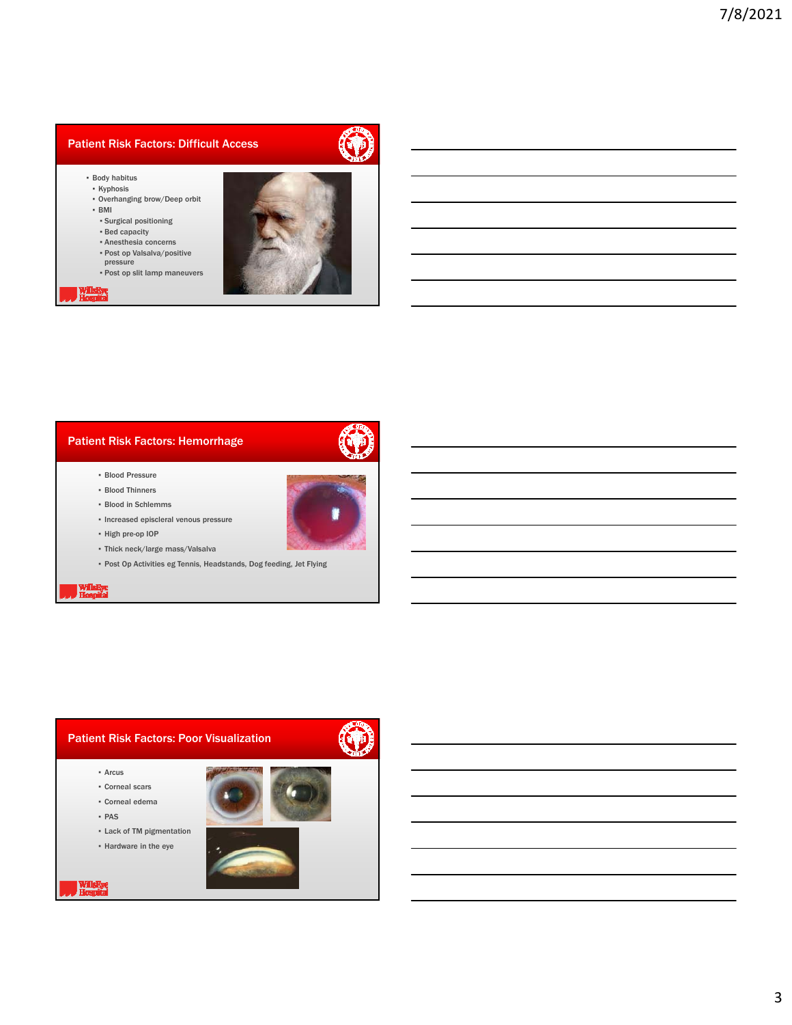# Patient Risk Factors: Difficult Access

- Body habitus
- Kyphosis
- Overhanging brow/Deep orbit ▪ BMI
- Surgical positioning
- Bed capacity
- Anesthesia concerns
- Post op Valsalva/positive
- pressure ▪ Post op slit lamp maneuvers





## Patient Risk Factors: Hemorrhage



- Blood Pressure
- Blood Thinners
- Blood in Schlemms
- Increased episcleral venous pressure
- High pre-op IOP
- Thick neck/large mass/Valsalva
- Post Op Activities eg Tennis, Headstands, Dog feeding, Jet Flying

**William**<br>Hospital

#### Patient Risk Factors: Poor Visualization



- Corneal scars
- Corneal edema
- PAS

Willaliye<br>Homultal

▪ Lack of TM pigmentation



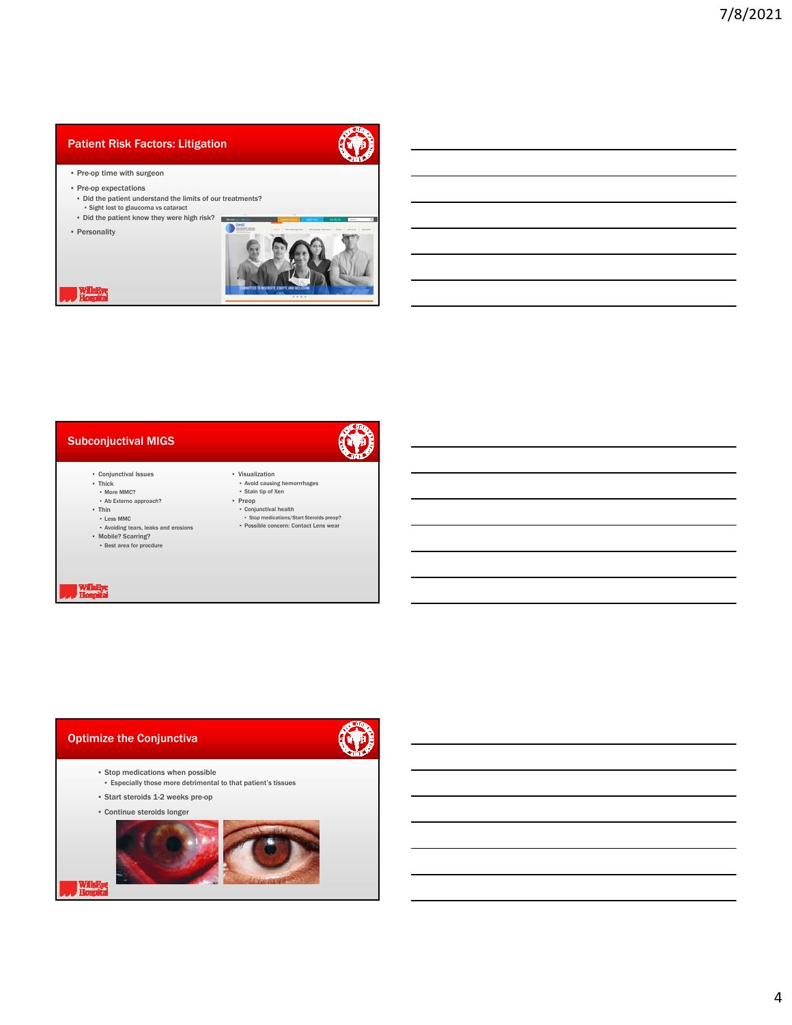## Patient Risk Factors: Litigation



Œ

- Pre-op time with surgeon
- Pre-op expectations
- Did the patient understand the limits of our treatments? ▪ Sight lost to glaucoma vs cataract
- Did the patient know they were high risk?
- Personality



Hospital



- 
- 
- Thick More MMC? Ab Externo approach?
- Thin
- Less MMC
- Avoiding tears, leaks and erosions Mobile? Scarring? Best area for procdure
- 
- Stop medications/Start Steroids preop? Possible concern: Contact Lens wear

▪ Avoid causing hemorrrhages ▪ Stain tip of Xen ▪ Preop ▪ Conjunctival health

▪ Visualization

WillaRye<br>Hospital

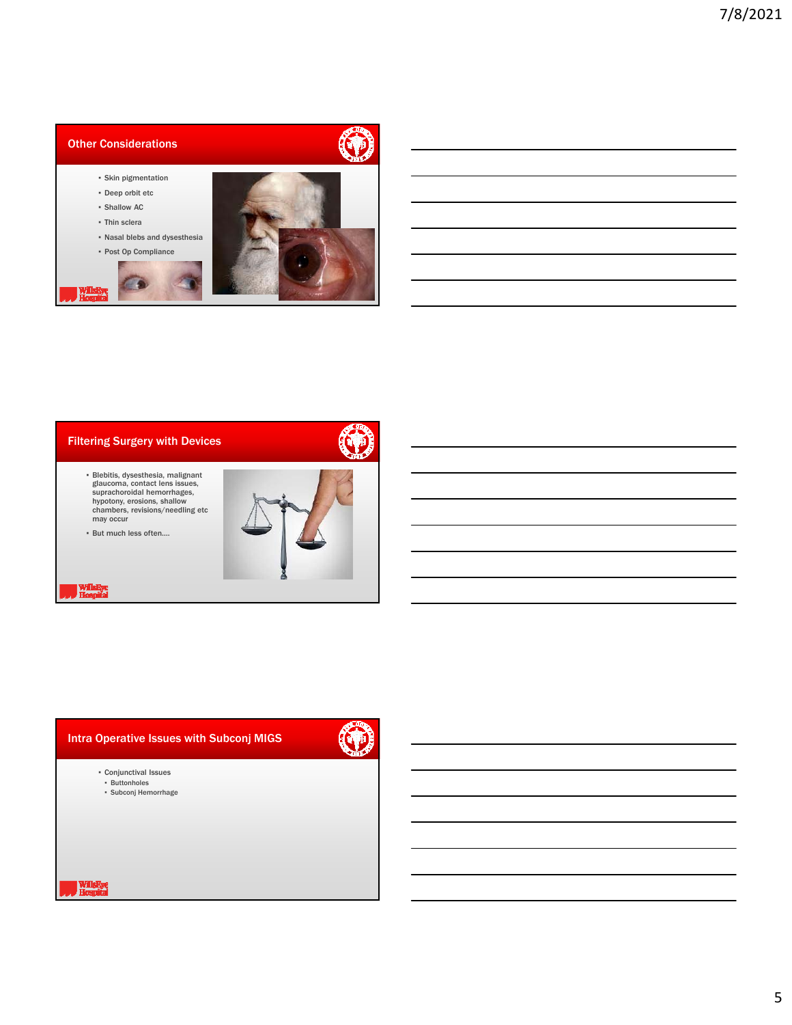## Other Considerations

- Skin pigmentation
- Deep orbit etc
- Shallow AC
- Thin sclera

Williams<br>Hospital

▪ Nasal blebs and dysesthesia ▪ Post Op Compliance



G



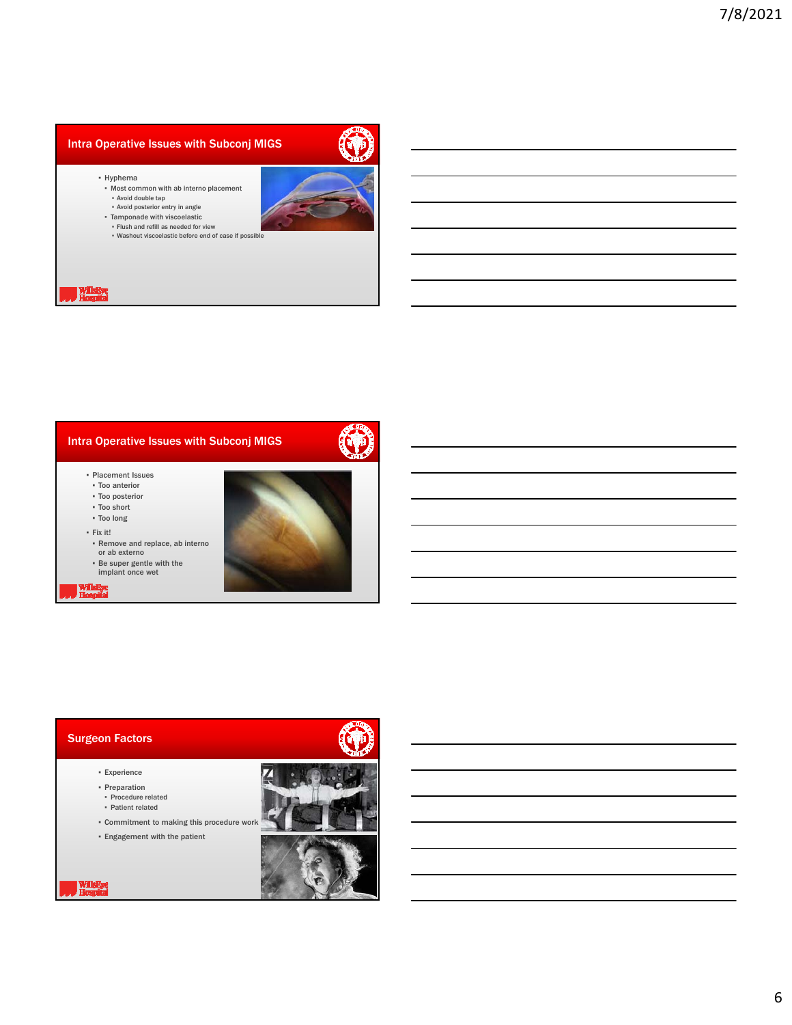#### Intra Operative Issues with Subconj MIGS



- Hyphema
- Most common with ab interno placement
- Avoid double tap
- Avoid posterior entry in angle Tamponade with viscoelastic
- Flush and refill as needed for view
- Washout viscoelastic before end of case if possible

#### Hospital



- Placement Issues
- Too anterior ▪ Too posterior
- Too short
- Too long
- 
- Fix it!
- Remove and replace, ab interno or ab externo
- Be super gentle with the implant once wet

#### Hospital

#### Surgeon Factors

WillsEye<br>Hospital

#### ▪ Experience

- Preparation ▪ Procedure related
- Patient related
- Commitment to making this procedure work ▪ Engagement with the patient